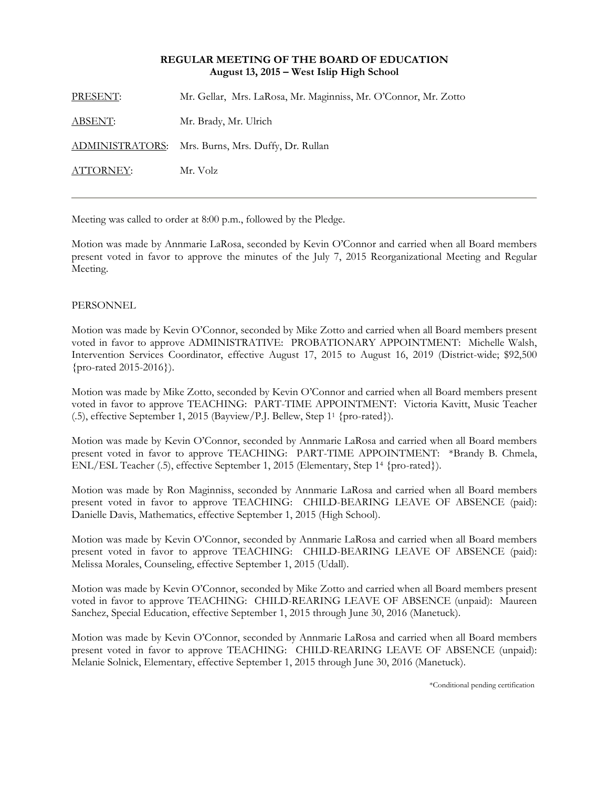### **REGULAR MEETING OF THE BOARD OF EDUCATION August 13, 2015 – West Islip High School**

| PRESENT:       | Mr. Gellar, Mrs. LaRosa, Mr. Maginniss, Mr. O'Connor, Mr. Zotto |
|----------------|-----------------------------------------------------------------|
| <u>ABSENT:</u> | Mr. Brady, Mr. Ulrich                                           |
|                | ADMINISTRATORS: Mrs. Burns, Mrs. Duffy, Dr. Rullan              |
| ATTORNEY:      | Mr. Volz                                                        |
|                |                                                                 |

Meeting was called to order at 8:00 p.m., followed by the Pledge.

Motion was made by Annmarie LaRosa, seconded by Kevin O'Connor and carried when all Board members present voted in favor to approve the minutes of the July 7, 2015 Reorganizational Meeting and Regular Meeting.

## PERSONNEL

Motion was made by Kevin O'Connor, seconded by Mike Zotto and carried when all Board members present voted in favor to approve ADMINISTRATIVE: PROBATIONARY APPOINTMENT: Michelle Walsh, Intervention Services Coordinator, effective August 17, 2015 to August 16, 2019 (District-wide; \$92,500 {pro-rated 2015-2016}).

Motion was made by Mike Zotto, seconded by Kevin O'Connor and carried when all Board members present voted in favor to approve TEACHING: PART-TIME APPOINTMENT: Victoria Kavitt, Music Teacher (.5), effective September 1, 2015 (Bayview/P.J. Bellew, Step 11 {pro-rated}).

Motion was made by Kevin O'Connor, seconded by Annmarie LaRosa and carried when all Board members present voted in favor to approve TEACHING: PART-TIME APPOINTMENT: \*Brandy B. Chmela, ENL/ESL Teacher (.5), effective September 1, 2015 (Elementary, Step 14 {pro-rated}).

Motion was made by Ron Maginniss, seconded by Annmarie LaRosa and carried when all Board members present voted in favor to approve TEACHING: CHILD-BEARING LEAVE OF ABSENCE (paid): Danielle Davis, Mathematics, effective September 1, 2015 (High School).

Motion was made by Kevin O'Connor, seconded by Annmarie LaRosa and carried when all Board members present voted in favor to approve TEACHING: CHILD-BEARING LEAVE OF ABSENCE (paid): Melissa Morales, Counseling, effective September 1, 2015 (Udall).

Motion was made by Kevin O'Connor, seconded by Mike Zotto and carried when all Board members present voted in favor to approve TEACHING: CHILD-REARING LEAVE OF ABSENCE (unpaid): Maureen Sanchez, Special Education, effective September 1, 2015 through June 30, 2016 (Manetuck).

Motion was made by Kevin O'Connor, seconded by Annmarie LaRosa and carried when all Board members present voted in favor to approve TEACHING: CHILD-REARING LEAVE OF ABSENCE (unpaid): Melanie Solnick, Elementary, effective September 1, 2015 through June 30, 2016 (Manetuck).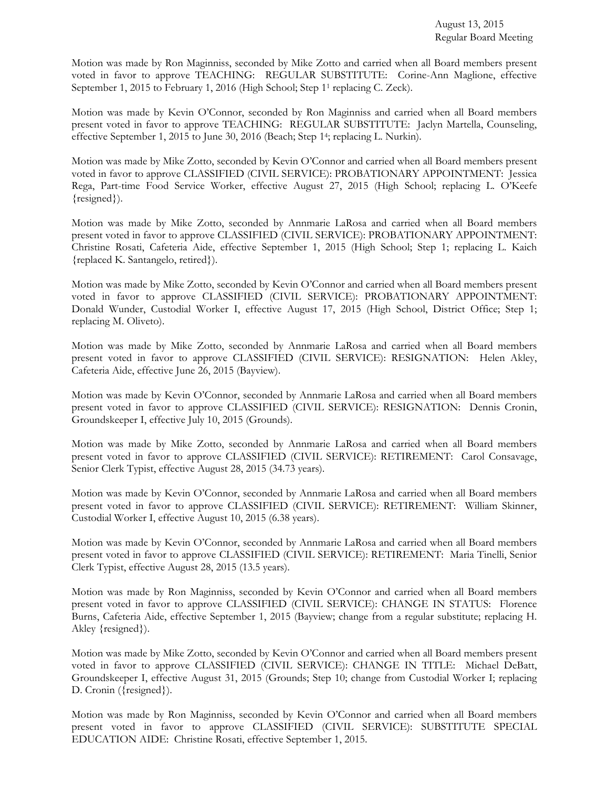Motion was made by Ron Maginniss, seconded by Mike Zotto and carried when all Board members present voted in favor to approve TEACHING: REGULAR SUBSTITUTE: Corine-Ann Maglione, effective September 1, 2015 to February 1, 2016 (High School; Step 11 replacing C. Zeck).

Motion was made by Kevin O'Connor, seconded by Ron Maginniss and carried when all Board members present voted in favor to approve TEACHING: REGULAR SUBSTITUTE: Jaclyn Martella, Counseling, effective September 1, 2015 to June 30, 2016 (Beach; Step 14; replacing L. Nurkin).

Motion was made by Mike Zotto, seconded by Kevin O'Connor and carried when all Board members present voted in favor to approve CLASSIFIED (CIVIL SERVICE): PROBATIONARY APPOINTMENT: Jessica Rega, Part-time Food Service Worker, effective August 27, 2015 (High School; replacing L. O'Keefe {resigned}).

Motion was made by Mike Zotto, seconded by Annmarie LaRosa and carried when all Board members present voted in favor to approve CLASSIFIED (CIVIL SERVICE): PROBATIONARY APPOINTMENT: Christine Rosati, Cafeteria Aide, effective September 1, 2015 (High School; Step 1; replacing L. Kaich {replaced K. Santangelo, retired}).

Motion was made by Mike Zotto, seconded by Kevin O'Connor and carried when all Board members present voted in favor to approve CLASSIFIED (CIVIL SERVICE): PROBATIONARY APPOINTMENT: Donald Wunder, Custodial Worker I, effective August 17, 2015 (High School, District Office; Step 1; replacing M. Oliveto).

Motion was made by Mike Zotto, seconded by Annmarie LaRosa and carried when all Board members present voted in favor to approve CLASSIFIED (CIVIL SERVICE): RESIGNATION: Helen Akley, Cafeteria Aide, effective June 26, 2015 (Bayview).

Motion was made by Kevin O'Connor, seconded by Annmarie LaRosa and carried when all Board members present voted in favor to approve CLASSIFIED (CIVIL SERVICE): RESIGNATION: Dennis Cronin, Groundskeeper I, effective July 10, 2015 (Grounds).

Motion was made by Mike Zotto, seconded by Annmarie LaRosa and carried when all Board members present voted in favor to approve CLASSIFIED (CIVIL SERVICE): RETIREMENT: Carol Consavage, Senior Clerk Typist, effective August 28, 2015 (34.73 years).

Motion was made by Kevin O'Connor, seconded by Annmarie LaRosa and carried when all Board members present voted in favor to approve CLASSIFIED (CIVIL SERVICE): RETIREMENT: William Skinner, Custodial Worker I, effective August 10, 2015 (6.38 years).

Motion was made by Kevin O'Connor, seconded by Annmarie LaRosa and carried when all Board members present voted in favor to approve CLASSIFIED (CIVIL SERVICE): RETIREMENT: Maria Tinelli, Senior Clerk Typist, effective August 28, 2015 (13.5 years).

Motion was made by Ron Maginniss, seconded by Kevin O'Connor and carried when all Board members present voted in favor to approve CLASSIFIED (CIVIL SERVICE): CHANGE IN STATUS: Florence Burns, Cafeteria Aide, effective September 1, 2015 (Bayview; change from a regular substitute; replacing H. Akley {resigned}).

Motion was made by Mike Zotto, seconded by Kevin O'Connor and carried when all Board members present voted in favor to approve CLASSIFIED (CIVIL SERVICE): CHANGE IN TITLE: Michael DeBatt, Groundskeeper I, effective August 31, 2015 (Grounds; Step 10; change from Custodial Worker I; replacing D. Cronin ({resigned}).

Motion was made by Ron Maginniss, seconded by Kevin O'Connor and carried when all Board members present voted in favor to approve CLASSIFIED (CIVIL SERVICE): SUBSTITUTE SPECIAL EDUCATION AIDE: Christine Rosati, effective September 1, 2015.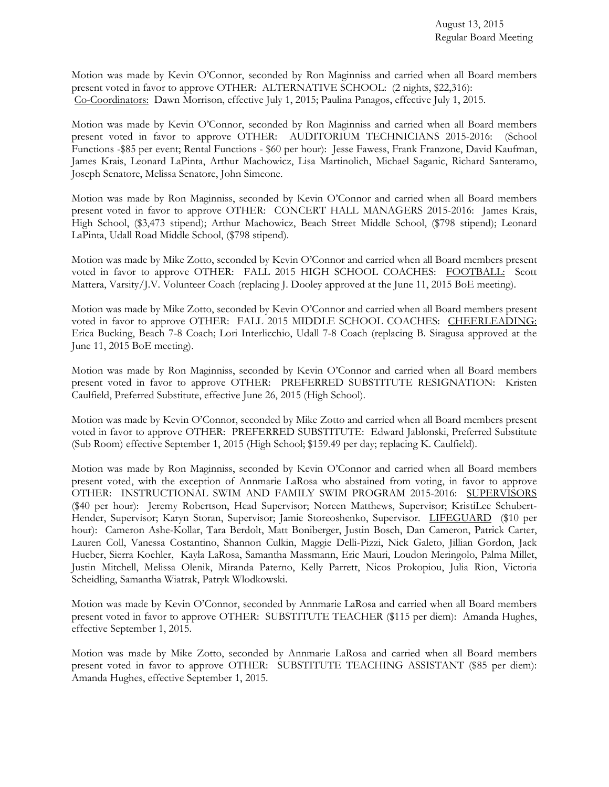Motion was made by Kevin O'Connor, seconded by Ron Maginniss and carried when all Board members present voted in favor to approve OTHER: ALTERNATIVE SCHOOL: (2 nights, \$22,316): Co-Coordinators: Dawn Morrison, effective July 1, 2015; Paulina Panagos, effective July 1, 2015.

Motion was made by Kevin O'Connor, seconded by Ron Maginniss and carried when all Board members present voted in favor to approve OTHER: AUDITORIUM TECHNICIANS 2015-2016: (School Functions -\$85 per event; Rental Functions - \$60 per hour): Jesse Fawess, Frank Franzone, David Kaufman, James Krais, Leonard LaPinta, Arthur Machowicz, Lisa Martinolich, Michael Saganic, Richard Santeramo, Joseph Senatore, Melissa Senatore, John Simeone.

Motion was made by Ron Maginniss, seconded by Kevin O'Connor and carried when all Board members present voted in favor to approve OTHER: CONCERT HALL MANAGERS 2015-2016: James Krais, High School, (\$3,473 stipend); Arthur Machowicz, Beach Street Middle School, (\$798 stipend); Leonard LaPinta, Udall Road Middle School, (\$798 stipend).

Motion was made by Mike Zotto, seconded by Kevin O'Connor and carried when all Board members present voted in favor to approve OTHER: FALL 2015 HIGH SCHOOL COACHES: FOOTBALL: Scott Mattera, Varsity/J.V. Volunteer Coach (replacing J. Dooley approved at the June 11, 2015 BoE meeting).

Motion was made by Mike Zotto, seconded by Kevin O'Connor and carried when all Board members present voted in favor to approve OTHER: FALL 2015 MIDDLE SCHOOL COACHES: CHEERLEADING: Erica Bucking, Beach 7-8 Coach; Lori Interlicchio, Udall 7-8 Coach (replacing B. Siragusa approved at the June 11, 2015 BoE meeting).

Motion was made by Ron Maginniss, seconded by Kevin O'Connor and carried when all Board members present voted in favor to approve OTHER: PREFERRED SUBSTITUTE RESIGNATION: Kristen Caulfield, Preferred Substitute, effective June 26, 2015 (High School).

Motion was made by Kevin O'Connor, seconded by Mike Zotto and carried when all Board members present voted in favor to approve OTHER: PREFERRED SUBSTITUTE: Edward Jablonski, Preferred Substitute (Sub Room) effective September 1, 2015 (High School; \$159.49 per day; replacing K. Caulfield).

Motion was made by Ron Maginniss, seconded by Kevin O'Connor and carried when all Board members present voted, with the exception of Annmarie LaRosa who abstained from voting, in favor to approve OTHER: INSTRUCTIONAL SWIM AND FAMILY SWIM PROGRAM 2015-2016: SUPERVISORS (\$40 per hour): Jeremy Robertson, Head Supervisor; Noreen Matthews, Supervisor; KristiLee Schubert-Hender, Supervisor; Karyn Storan, Supervisor; Jamie Storeoshenko, Supervisor. LIFEGUARD (\$10 per hour): Cameron Ashe-Kollar, Tara Berdolt, Matt Boniberger, Justin Bosch, Dan Cameron, Patrick Carter, Lauren Coll, Vanessa Costantino, Shannon Culkin, Maggie Delli-Pizzi, Nick Galeto, Jillian Gordon, Jack Hueber, Sierra Koehler, Kayla LaRosa, Samantha Massmann, Eric Mauri, Loudon Meringolo, Palma Millet, Justin Mitchell, Melissa Olenik, Miranda Paterno, Kelly Parrett, Nicos Prokopiou, Julia Rion, Victoria Scheidling, Samantha Wiatrak, Patryk Wlodkowski.

Motion was made by Kevin O'Connor, seconded by Annmarie LaRosa and carried when all Board members present voted in favor to approve OTHER: SUBSTITUTE TEACHER (\$115 per diem): Amanda Hughes, effective September 1, 2015.

Motion was made by Mike Zotto, seconded by Annmarie LaRosa and carried when all Board members present voted in favor to approve OTHER: SUBSTITUTE TEACHING ASSISTANT (\$85 per diem): Amanda Hughes, effective September 1, 2015.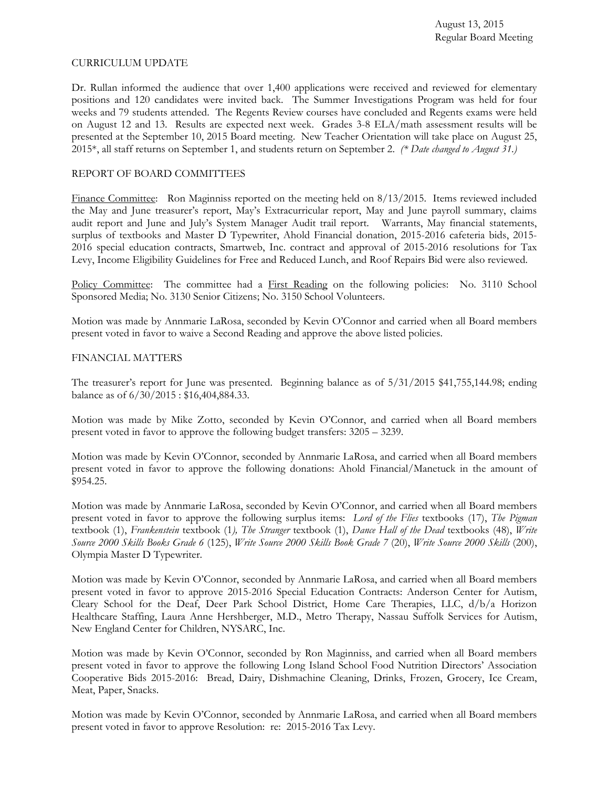#### CURRICULUM UPDATE

Dr. Rullan informed the audience that over 1,400 applications were received and reviewed for elementary positions and 120 candidates were invited back. The Summer Investigations Program was held for four weeks and 79 students attended. The Regents Review courses have concluded and Regents exams were held on August 12 and 13. Results are expected next week. Grades 3-8 ELA/math assessment results will be presented at the September 10, 2015 Board meeting. New Teacher Orientation will take place on August 25, 2015\*, all staff returns on September 1, and students return on September 2. *(\* Date changed to August 31.)* 

#### REPORT OF BOARD COMMITTEES

Finance Committee: Ron Maginniss reported on the meeting held on 8/13/2015. Items reviewed included the May and June treasurer's report, May's Extracurricular report, May and June payroll summary, claims audit report and June and July's System Manager Audit trail report. Warrants, May financial statements, surplus of textbooks and Master D Typewriter, Ahold Financial donation, 2015-2016 cafeteria bids, 2015- 2016 special education contracts, Smartweb, Inc. contract and approval of 2015-2016 resolutions for Tax Levy, Income Eligibility Guidelines for Free and Reduced Lunch, and Roof Repairs Bid were also reviewed.

Policy Committee: The committee had a First Reading on the following policies: No. 3110 School Sponsored Media; No. 3130 Senior Citizens; No. 3150 School Volunteers.

Motion was made by Annmarie LaRosa, seconded by Kevin O'Connor and carried when all Board members present voted in favor to waive a Second Reading and approve the above listed policies.

#### FINANCIAL MATTERS

The treasurer's report for June was presented. Beginning balance as of 5/31/2015 \$41,755,144.98; ending balance as of 6/30/2015 : \$16,404,884.33.

Motion was made by Mike Zotto, seconded by Kevin O'Connor, and carried when all Board members present voted in favor to approve the following budget transfers: 3205 – 3239.

Motion was made by Kevin O'Connor, seconded by Annmarie LaRosa, and carried when all Board members present voted in favor to approve the following donations: Ahold Financial/Manetuck in the amount of \$954.25.

Motion was made by Annmarie LaRosa, seconded by Kevin O'Connor, and carried when all Board members present voted in favor to approve the following surplus items: *Lord of the Flies* textbooks (17), *The Pigman*  textbook (1), *Frankenstein* textbook (1*), The Stranger* textbook (1), *Dance Hall of the Dead* textbooks (48), *Write Source 2000 Skills Books Grade 6* (125), *Write Source 2000 Skills Book Grade 7* (20), *Write Source 2000 Skills* (200), Olympia Master D Typewriter.

Motion was made by Kevin O'Connor, seconded by Annmarie LaRosa, and carried when all Board members present voted in favor to approve 2015-2016 Special Education Contracts: Anderson Center for Autism, Cleary School for the Deaf, Deer Park School District, Home Care Therapies, LLC, d/b/a Horizon Healthcare Staffing, Laura Anne Hershberger, M.D., Metro Therapy, Nassau Suffolk Services for Autism, New England Center for Children, NYSARC, Inc.

Motion was made by Kevin O'Connor, seconded by Ron Maginniss, and carried when all Board members present voted in favor to approve the following Long Island School Food Nutrition Directors' Association Cooperative Bids 2015-2016: Bread, Dairy, Dishmachine Cleaning, Drinks, Frozen, Grocery, Ice Cream, Meat, Paper, Snacks.

Motion was made by Kevin O'Connor, seconded by Annmarie LaRosa, and carried when all Board members present voted in favor to approve Resolution: re: 2015-2016 Tax Levy.